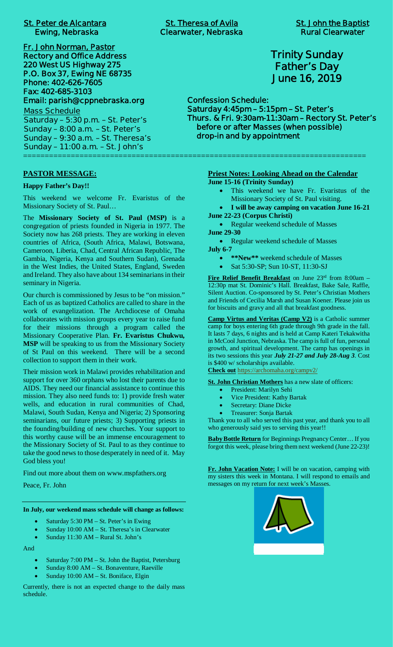| <b>St. Peter de Alcantara</b> |  |  |
|-------------------------------|--|--|
| <b>Ewing, Nebraska</b>        |  |  |

**Fr. John Norman, Pastor Rectory and Office Address 220 West US Highway 275 P.O. Box 37, Ewing NE 68735 Phone: 402-626-7605 Fax: 402-685-3103 Email: parish@cppnebraska.org Mass Schedule**

**Saturday – 5:30 p.m. – St. Peter's Sunday – 8:00 a.m. – St. Peter's Sunday – 9:30 a.m. – St. Theresa's Sunday – 11:00 a.m. – St. John's** ===============================================================================

#### **PASTOR MESSAGE:**

#### **Happy Father's Day!!**

This weekend we welcome Fr. Evaristus of the Missionary Society of St. Paul…

The **Missionary Society of St. Paul (MSP)** is a congregation of priests founded in Nigeria in 1977. The Society now has 268 priests. They are working in eleven countries of Africa, (South Africa, Malawi, Botswana, Cameroon, Liberia, Chad, Central African Republic, The Gambia, Nigeria, Kenya and Southern Sudan), Grenada in the West Indies, the United States, England, Sweden and Ireland. They also have about 134 seminarians in their seminary in Nigeria.

Our church is commissioned by Jesus to be "on mission." Each of us as baptized Catholics are called to share in the work of evangelization. The Archdiocese of Omaha collaborates with mission groups every year to raise fund for their missions through a program called the Missionary Cooperative Plan. **Fr. Evaristus Chukwu, MSP** will be speaking to us from the Missionary Society of St Paul on this weekend. There will be a second collection to support them in their work.

Their mission work in Malawi provides rehabilitation and support for over 360 orphans who lost their parents due to AIDS. They need our financial assistance to continue this mission. They also need funds to: 1) provide fresh water wells, and education in rural communities of Chad, Malawi, South Sudan, Kenya and Nigeria; 2) Sponsoring seminarians, our future priests; 3) Supporting priests in the founding/building of new churches. Your support to this worthy cause will be an immense encouragement to the Missionary Society of St. Paul to as they continue to take the good news to those desperately in need of it. May God bless you!

Find out more about them on www.mspfathers.org

Peace, Fr. John

**In July, our weekend mass schedule will change as follows:**

- Saturday 5:30 PM St. Peter's in Ewing
- Sunday 10:00 AM St. Theresa's in Clearwater
- Sunday 11:30 AM Rural St. John's

And

- Saturday 7:00 PM St. John the Baptist, Petersburg
- Sunday 8:00 AM St. Bonaventure, Raeville
- Sunday 10:00 AM St. Boniface, Elgin

Currently, there is not an expected change to the daily mass schedule.

**St. Theresa of Avila St. John the Baptist Clearwater, Nebraska Rural Clearwater** 

**Trinity Sunday Father's Day June 16, 2019**

**Confession Schedule: Saturday 4:45pm – 5:15pm – St. Peter's Thurs. & Fri. 9:30am-11:30am – Rectory St. Peter's before or after Masses (when possible) drop-in and by appointment**

> **Priest Notes: Looking Ahead on the Calendar June 15-16 (Trinity Sunday)**

- · This weekend we have Fr. Evaristus of the Missionary Society of St. Paul visiting.
- · **I will be away camping on vacation June 16-21 June 22-23 (Corpus Christi)**

• Regular weekend schedule of Masses **June 29-30**

• Regular weekend schedule of Masses

**July 6-7**

- · **\*\*New\*\*** weekend schedule of Masses
- Sat 5:30-SP; Sun 10-ST, 11:30-SJ

**Fire Relief Benefit Breakfast** on June 23rd from 8:00am – 12:30p mat St. Dominic's Hall. Breakfast, Bake Sale, Raffle, Silent Auction. Co-sponsored by St. Peter's Christian Mothers and Friends of Cecilia Marsh and Susan Koener. Please join us for biscuits and gravy and all that breakfast goodness.

**Camp Virtus and Veritas (Camp V2)** is a Catholic summer camp for boys entering 6th grade through 9th grade in the fall. It lasts 7 days, 6 nights and is held at Camp Kateri Tekakwitha in McCool Junction, Nebraska. The camp is full of fun, personal growth, and spiritual development. The camp has openings in its two sessions this year *July 21-27 and July 28-Aug 3*. Cost is \$400 w/ scholarships available.

**Check out** https://archomaha.org/campv2/

**St. John Christian Mothers** has a new slate of officers:

- President: Marilyn Sehi
- Vice President: Kathy Bartak
- Secretary: Diane Dicke
- · Treasurer: Sonja Bartak

Thank you to all who served this past year, and thank you to all who generously said yes to serving this year!!

**Baby Bottle Return** for Beginnings Pregnancy Center… If you forgot this week, please bring them next weekend (June 22-23)!

**Fr. John Vacation Note:** I will be on vacation, camping with my sisters this week in Montana. I will respond to emails and messages on my return for next week's Masses.